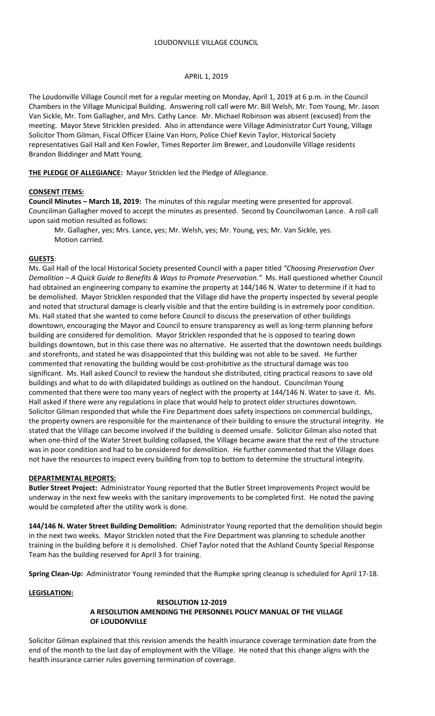### APRIL 1, 2019

The Loudonville Village Council met for a regular meeting on Monday, April 1, 2019 at 6 p.m. in the Council Chambers in the Village Municipal Building. Answering roll call were Mr. Bill Welsh, Mr. Tom Young, Mr. Jason Van Sickle, Mr. Tom Gallagher, and Mrs. Cathy Lance. Mr. Michael Robinson was absent (excused) from the meeting. Mayor Steve Stricklen presided. Also in attendance were Village Administrator Curt Young, Village Solicitor Thom Gilman, Fiscal Officer Elaine Van Horn, Police Chief Kevin Taylor, Historical Society representatives Gail Hall and Ken Fowler, Times Reporter Jim Brewer, and Loudonville Village residents Brandon Biddinger and Matt Young.

**THE PLEDGE OF ALLEGIANCE:** Mayor Stricklen led the Pledge of Allegiance.

# **CONSENT ITEMS:**

**Council Minutes – March 18, 2019:** The minutes of this regular meeting were presented for approval. Councilman Gallagher moved to accept the minutes as presented. Second by Councilwoman Lance. A roll call upon said motion resulted as follows:

Mr. Gallagher, yes; Mrs. Lance, yes; Mr. Welsh, yes; Mr. Young, yes; Mr. Van Sickle, yes. Motion carried.

# **GUESTS**:

Ms. Gail Hall of the local Historical Society presented Council with a paper titled *"Choosing Preservation Over Demolition – A Quick Guide to Benefits & Ways to Promote Preservation."* Ms. Hall questioned whether Council had obtained an engineering company to examine the property at 144/146 N. Water to determine if it had to be demolished. Mayor Stricklen responded that the Village did have the property inspected by several people and noted that structural damage is clearly visible and that the entire building is in extremely poor condition. Ms. Hall stated that she wanted to come before Council to discuss the preservation of other buildings downtown, encouraging the Mayor and Council to ensure transparency as well as long-term planning before building are considered for demolition. Mayor Stricklen responded that he is opposed to tearing down buildings downtown, but in this case there was no alternative. He asserted that the downtown needs buildings and storefronts, and stated he was disappointed that this building was not able to be saved. He further commented that renovating the building would be cost-prohibitive as the structural damage was too significant. Ms. Hall asked Council to review the handout she distributed, citing practical reasons to save old buildings and what to do with dilapidated buildings as outlined on the handout. Councilman Young commented that there were too many years of neglect with the property at 144/146 N. Water to save it. Ms. Hall asked if there were any regulations in place that would help to protect older structures downtown. Solicitor Gilman responded that while the Fire Department does safety inspections on commercial buildings, the property owners are responsible for the maintenance of their building to ensure the structural integrity. He stated that the Village can become involved if the building is deemed unsafe. Solicitor Gilman also noted that when one-third of the Water Street building collapsed, the Village became aware that the rest of the structure was in poor condition and had to be considered for demolition. He further commented that the Village does not have the resources to inspect every building from top to bottom to determine the structural integrity.

### **DEPARTMENTAL REPORTS:**

**Butler Street Project:** Administrator Young reported that the Butler Street Improvements Project would be underway in the next few weeks with the sanitary improvements to be completed first. He noted the paving would be completed after the utility work is done.

**144/146 N. Water Street Building Demolition:** Administrator Young reported that the demolition should begin in the next two weeks. Mayor Stricklen noted that the Fire Department was planning to schedule another training in the building before it is demolished. Chief Taylor noted that the Ashland County Special Response Team has the building reserved for April 3 for training.

**Spring Clean-Up:** Administrator Young reminded that the Rumpke spring cleanup is scheduled for April 17-18.

# **LEGISLATION:**

### **RESOLUTION 12-2019 A RESOLUTION AMENDING THE PERSONNEL POLICY MANUAL OF THE VILLAGE OF LOUDONVILLE**

Solicitor Gilman explained that this revision amends the health insurance coverage termination date from the end of the month to the last day of employment with the Village. He noted that this change aligns with the health insurance carrier rules governing termination of coverage.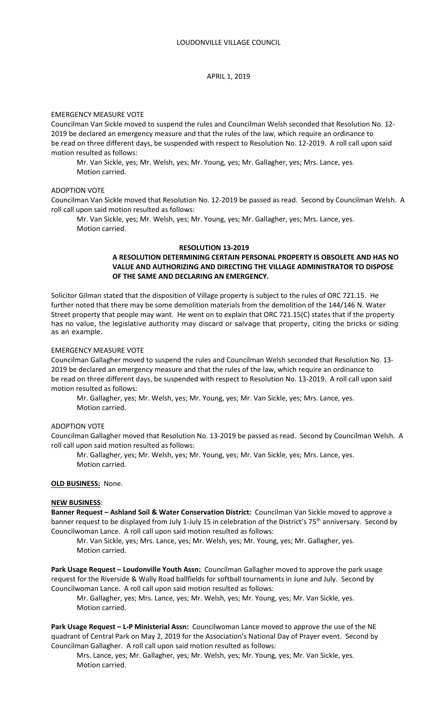### APRIL 1, 2019

#### EMERGENCY MEASURE VOTE

Councilman Van Sickle moved to suspend the rules and Councilman Welsh seconded that Resolution No. 12- 2019 be declared an emergency measure and that the rules of the law, which require an ordinance to be read on three different days, be suspended with respect to Resolution No. 12-2019. A roll call upon said motion resulted as follows:

Mr. Van Sickle, yes; Mr. Welsh, yes; Mr. Young, yes; Mr. Gallagher, yes; Mrs. Lance, yes. Motion carried.

#### ADOPTION VOTE

Councilman Van Sickle moved that Resolution No. 12-2019 be passed as read. Second by Councilman Welsh. A roll call upon said motion resulted as follows:

Mr. Van Sickle, yes; Mr. Welsh, yes; Mr. Young, yes; Mr. Gallagher, yes; Mrs. Lance, yes. Motion carried.

#### **RESOLUTION 13-2019**

# **A RESOLUTION DETERMINING CERTAIN PERSONAL PROPERTY IS OBSOLETE AND HAS NO VALUE AND AUTHORIZING AND DIRECTING THE VILLAGE ADMINISTRATOR TO DISPOSE OF THE SAME AND DECLARING AN EMERGENCY.**

Solicitor Gilman stated that the disposition of Village property is subject to the rules of ORC 721.15. He further noted that there may be some demolition materials from the demolition of the 144/146 N. Water Street property that people may want. He went on to explain that ORC 721.15(C) states that if the property has no value, the legislative authority may discard or salvage that property, citing the bricks or siding as an example.

## EMERGENCY MEASURE VOTE

Councilman Gallagher moved to suspend the rules and Councilman Welsh seconded that Resolution No. 13- 2019 be declared an emergency measure and that the rules of the law, which require an ordinance to be read on three different days, be suspended with respect to Resolution No. 13-2019. A roll call upon said motion resulted as follows:

Mr. Gallagher, yes; Mr. Welsh, yes; Mr. Young, yes; Mr. Van Sickle, yes; Mrs. Lance, yes. Motion carried.

#### ADOPTION VOTE

Councilman Gallagher moved that Resolution No. 13-2019 be passed as read. Second by Councilman Welsh. A roll call upon said motion resulted as follows:

Mr. Gallagher, yes; Mr. Welsh, yes; Mr. Young, yes; Mr. Van Sickle, yes; Mrs. Lance, yes. Motion carried.

#### **OLD BUSINESS:** None.

#### **NEW BUSINESS**:

**Banner Request – Ashland Soil & Water Conservation District:** Councilman Van Sickle moved to approve a banner request to be displayed from July 1-July 15 in celebration of the District's 75<sup>th</sup> anniversary. Second by Councilwoman Lance. A roll call upon said motion resulted as follows:

Mr. Van Sickle, yes; Mrs. Lance, yes; Mr. Welsh, yes; Mr. Young, yes; Mr. Gallagher, yes. Motion carried.

**Park Usage Request – Loudonville Youth Assn:** Councilman Gallagher moved to approve the park usage request for the Riverside & Wally Road ballfields for softball tournaments in June and July. Second by Councilwoman Lance. A roll call upon said motion resulted as follows:

Mr. Gallagher, yes; Mrs. Lance, yes; Mr. Welsh, yes; Mr. Young, yes; Mr. Van Sickle, yes. Motion carried.

**Park Usage Request – L-P Ministerial Assn:** Councilwoman Lance moved to approve the use of the NE quadrant of Central Park on May 2, 2019 for the Association's National Day of Prayer event. Second by Councilman Gallagher. A roll call upon said motion resulted as follows:

Mrs. Lance, yes; Mr. Gallagher, yes; Mr. Welsh, yes; Mr. Young, yes; Mr. Van Sickle, yes. Motion carried.